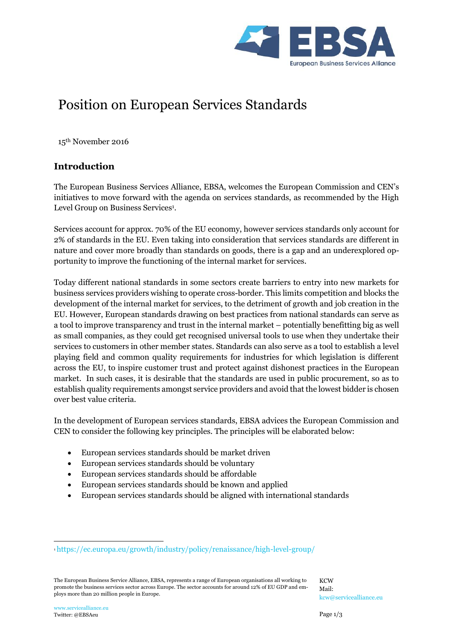

# Position on European Services Standards

15th November 2016

# **Introduction**

The European Business Services Alliance, EBSA, welcomes the European Commission and CEN's initiatives to move forward with the agenda on services standards, as recommended by the High Level Group on Business Services<sup>1</sup>.

Services account for approx. 70% of the EU economy, however services standards only account for 2% of standards in the EU. Even taking into consideration that services standards are different in nature and cover more broadly than standards on goods, there is a gap and an underexplored opportunity to improve the functioning of the internal market for services.

Today different national standards in some sectors create barriers to entry into new markets for business services providers wishing to operate cross-border. This limits competition and blocks the development of the internal market for services, to the detriment of growth and job creation in the EU. However, European standards drawing on best practices from national standards can serve as a tool to improve transparency and trust in the internal market – potentially benefitting big as well as small companies, as they could get recognised universal tools to use when they undertake their services to customers in other member states. Standards can also serve as a tool to establish a level playing field and common quality requirements for industries for which legislation is different across the EU, to inspire customer trust and protect against dishonest practices in the European market. In such cases, it is desirable that the standards are used in public procurement, so as to establish quality requirements amongst service providers and avoid that the lowest bidder is chosen over best value criteria.

In the development of European services standards, EBSA advices the European Commission and CEN to consider the following key principles. The principles will be elaborated below:

- European services standards should be market driven
- European services standards should be voluntary
- European services standards should be affordable
- European services standards should be known and applied
- European services standards should be aligned with international standards

 $\overline{a}$ 

<sup>1</sup> <https://ec.europa.eu/growth/industry/policy/renaissance/high-level-group/>

The European Business Service Alliance, EBSA, represents a range of European organisations all working to promote the business services sector across Europe. The sector accounts for around 12% of EU GDP and employs more than 20 million people in Europe.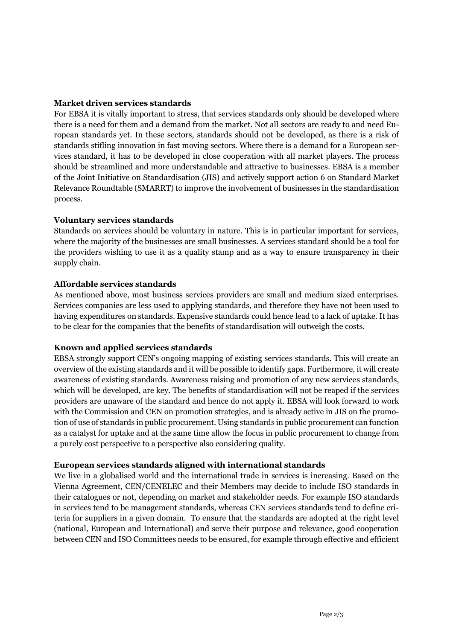## **Market driven services standards**

For EBSA it is vitally important to stress, that services standards only should be developed where there is a need for them and a demand from the market. Not all sectors are ready to and need European standards yet. In these sectors, standards should not be developed, as there is a risk of standards stifling innovation in fast moving sectors. Where there is a demand for a European services standard, it has to be developed in close cooperation with all market players. The process should be streamlined and more understandable and attractive to businesses. EBSA is a member of the Joint Initiative on Standardisation (JIS) and actively support action 6 on Standard Market Relevance Roundtable (SMARRT) to improve the involvement of businesses in the standardisation process.

#### **Voluntary services standards**

Standards on services should be voluntary in nature. This is in particular important for services, where the majority of the businesses are small businesses. A services standard should be a tool for the providers wishing to use it as a quality stamp and as a way to ensure transparency in their supply chain.

#### **Affordable services standards**

As mentioned above, most business services providers are small and medium sized enterprises. Services companies are less used to applying standards, and therefore they have not been used to having expenditures on standards. Expensive standards could hence lead to a lack of uptake. It has to be clear for the companies that the benefits of standardisation will outweigh the costs.

## **Known and applied services standards**

EBSA strongly support CEN's ongoing mapping of existing services standards. This will create an overview of the existing standards and it will be possible to identify gaps. Furthermore, it will create awareness of existing standards. Awareness raising and promotion of any new services standards, which will be developed, are key. The benefits of standardisation will not be reaped if the services providers are unaware of the standard and hence do not apply it. EBSA will look forward to work with the Commission and CEN on promotion strategies, and is already active in JIS on the promotion of use of standards in public procurement. Using standards in public procurement can function as a catalyst for uptake and at the same time allow the focus in public procurement to change from a purely cost perspective to a perspective also considering quality.

#### **European services standards aligned with international standards**

We live in a globalised world and the international trade in services is increasing. Based on the Vienna Agreement, CEN/CENELEC and their Members may decide to include ISO standards in their catalogues or not, depending on market and stakeholder needs. For example ISO standards in services tend to be management standards, whereas CEN services standards tend to define criteria for suppliers in a given domain. To ensure that the standards are adopted at the right level (national, European and International) and serve their purpose and relevance, good cooperation between CEN and ISO Committees needs to be ensured, for example through effective and efficient